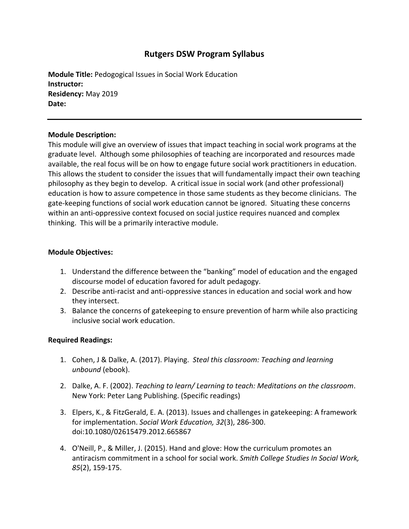# **Rutgers DSW Program Syllabus**

**Module Title:** Pedogogical Issues in Social Work Education **Instructor: Residency:** May 2019 **Date:**

#### **Module Description:**

This module will give an overview of issues that impact teaching in social work programs at the graduate level. Although some philosophies of teaching are incorporated and resources made available, the real focus will be on how to engage future social work practitioners in education. This allows the student to consider the issues that will fundamentally impact their own teaching philosophy as they begin to develop. A critical issue in social work (and other professional) education is how to assure competence in those same students as they become clinicians. The gate-keeping functions of social work education cannot be ignored. Situating these concerns within an anti-oppressive context focused on social justice requires nuanced and complex thinking. This will be a primarily interactive module.

#### **Module Objectives:**

- 1. Understand the difference between the "banking" model of education and the engaged discourse model of education favored for adult pedagogy.
- 2. Describe anti-racist and anti-oppressive stances in education and social work and how they intersect.
- 3. Balance the concerns of gatekeeping to ensure prevention of harm while also practicing inclusive social work education.

#### **Required Readings:**

- 1. Cohen, J & Dalke, A. (2017). Playing. *Steal this classroom: Teaching and learning unbound* (ebook).
- 2. Dalke, A. F. (2002). *Teaching to learn/ Learning to teach: Meditations on the classroom*. New York: Peter Lang Publishing. (Specific readings)
- 3. Elpers, K., & FitzGerald, E. A. (2013). Issues and challenges in gatekeeping: A framework for implementation. *Social Work Education, 32*(3), 286-300. doi:10.1080/02615479.2012.665867
- 4. O'Neill, P., & Miller, J. (2015). Hand and glove: How the curriculum promotes an antiracism commitment in a school for social work. *Smith College Studies In Social Work, 85*(2), 159-175.